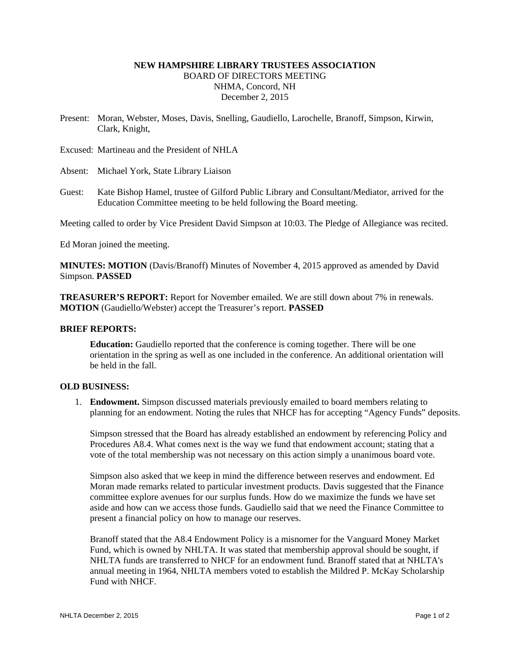# **NEW HAMPSHIRE LIBRARY TRUSTEES ASSOCIATION**  BOARD OF DIRECTORS MEETING NHMA, Concord, NH December 2, 2015

Present: Moran, Webster, Moses, Davis, Snelling, Gaudiello, Larochelle, Branoff, Simpson, Kirwin, Clark, Knight,

Excused: Martineau and the President of NHLA

Absent: Michael York, State Library Liaison

Guest: Kate Bishop Hamel, trustee of Gilford Public Library and Consultant/Mediator, arrived for the Education Committee meeting to be held following the Board meeting.

Meeting called to order by Vice President David Simpson at 10:03. The Pledge of Allegiance was recited.

Ed Moran joined the meeting.

**MINUTES: MOTION** (Davis/Branoff) Minutes of November 4, 2015 approved as amended by David Simpson. **PASSED**

**TREASURER'S REPORT:** Report for November emailed. We are still down about 7% in renewals. **MOTION** (Gaudiello/Webster) accept the Treasurer's report. **PASSED**

#### **BRIEF REPORTS:**

**Education:** Gaudiello reported that the conference is coming together. There will be one orientation in the spring as well as one included in the conference. An additional orientation will be held in the fall.

### **OLD BUSINESS:**

1. **Endowment.** Simpson discussed materials previously emailed to board members relating to planning for an endowment. Noting the rules that NHCF has for accepting "Agency Funds" deposits.

Simpson stressed that the Board has already established an endowment by referencing Policy and Procedures A8.4. What comes next is the way we fund that endowment account; stating that a vote of the total membership was not necessary on this action simply a unanimous board vote.

Simpson also asked that we keep in mind the difference between reserves and endowment. Ed Moran made remarks related to particular investment products. Davis suggested that the Finance committee explore avenues for our surplus funds. How do we maximize the funds we have set aside and how can we access those funds. Gaudiello said that we need the Finance Committee to present a financial policy on how to manage our reserves.

Branoff stated that the A8.4 Endowment Policy is a misnomer for the Vanguard Money Market Fund, which is owned by NHLTA. It was stated that membership approval should be sought, if NHLTA funds are transferred to NHCF for an endowment fund. Branoff stated that at NHLTA's annual meeting in 1964, NHLTA members voted to establish the Mildred P. McKay Scholarship Fund with NHCF.